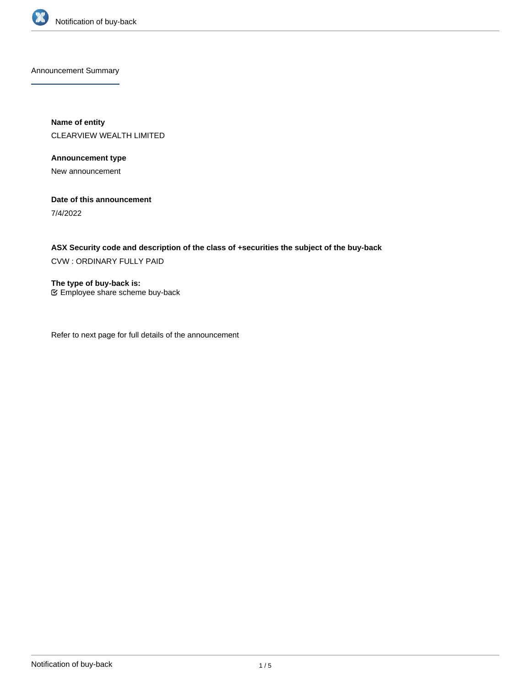

Announcement Summary

**Name of entity** CLEARVIEW WEALTH LIMITED

**Announcement type** New announcement

**Date of this announcement**

7/4/2022

**ASX Security code and description of the class of +securities the subject of the buy-back** CVW : ORDINARY FULLY PAID

**The type of buy-back is:** Employee share scheme buy-back

Refer to next page for full details of the announcement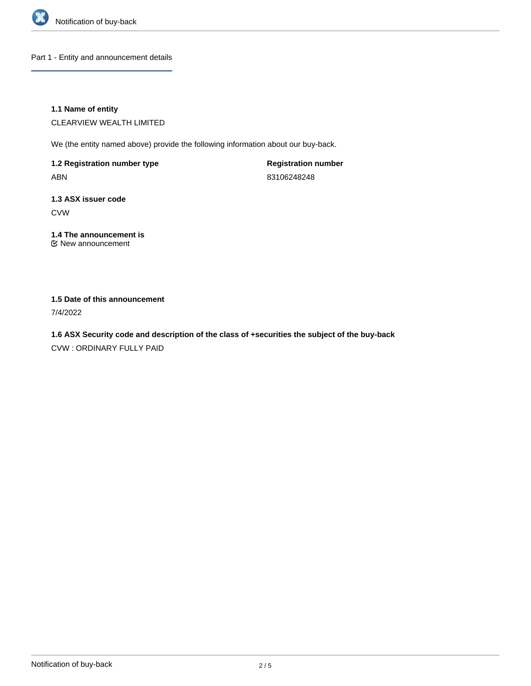

Part 1 - Entity and announcement details

## **1.1 Name of entity**

CLEARVIEW WEALTH LIMITED

We (the entity named above) provide the following information about our buy-back.

**1.2 Registration number type** ABN

**Registration number** 83106248248

# **1.3 ASX issuer code** CVW

**1.4 The announcement is** New announcement

## **1.5 Date of this announcement**

7/4/2022

**1.6 ASX Security code and description of the class of +securities the subject of the buy-back** CVW : ORDINARY FULLY PAID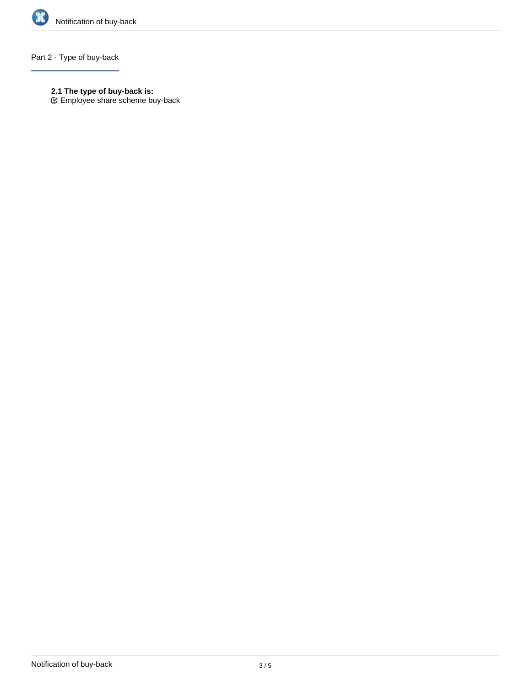

## Part 2 - Type of buy-back

- **2.1 The type of buy-back is:**
- Employee share scheme buy-back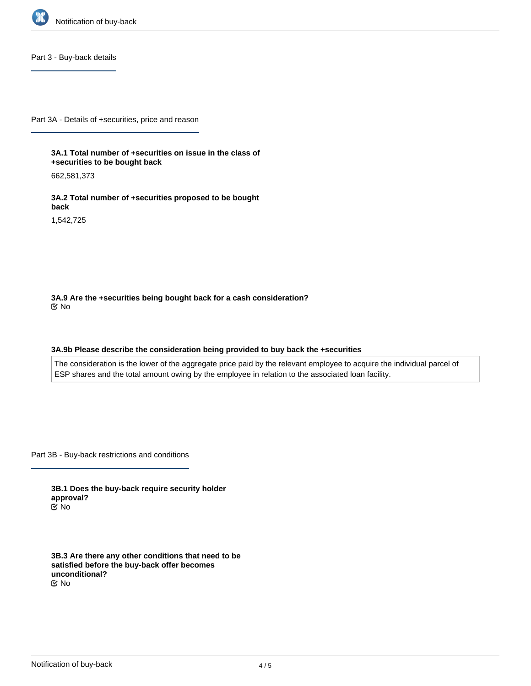

Part 3 - Buy-back details

Part 3A - Details of +securities, price and reason

**3A.1 Total number of +securities on issue in the class of +securities to be bought back**

662,581,373

**3A.2 Total number of +securities proposed to be bought back**

1,542,725

**3A.9 Are the +securities being bought back for a cash consideration?** No

#### **3A.9b Please describe the consideration being provided to buy back the +securities**

The consideration is the lower of the aggregate price paid by the relevant employee to acquire the individual parcel of ESP shares and the total amount owing by the employee in relation to the associated loan facility.

Part 3B - Buy-back restrictions and conditions

**3B.1 Does the buy-back require security holder approval?** No

**3B.3 Are there any other conditions that need to be satisfied before the buy-back offer becomes unconditional?** No